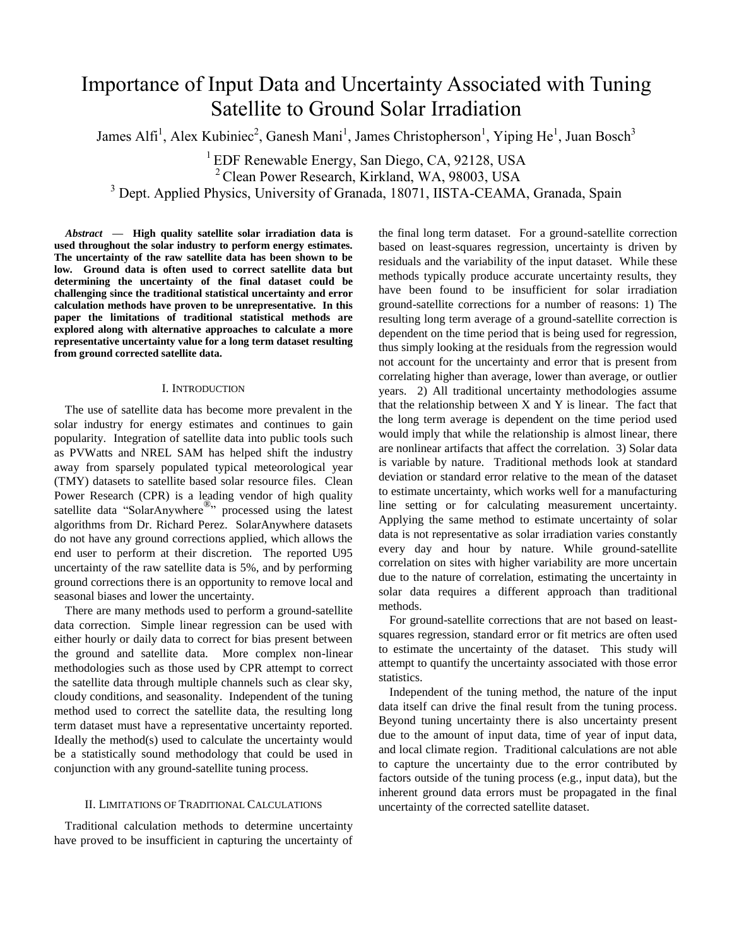# Importance of Input Data and Uncertainty Associated with Tuning Satellite to Ground Solar Irradiation

James Alfi<sup>1</sup>, Alex Kubiniec<sup>2</sup>, Ganesh Mani<sup>1</sup>, James Christopherson<sup>1</sup>, Yiping He<sup>1</sup>, Juan Bosch<sup>3</sup>

<sup>1</sup> EDF Renewable Energy, San Diego, CA, 92128, USA

<sup>2</sup> Clean Power Research, Kirkland, WA, 98003, USA

<sup>3</sup> Dept. Applied Physics, University of Granada, 18071, IISTA-CEAMA, Granada, Spain

*Abstract* **— High quality satellite solar irradiation data is used throughout the solar industry to perform energy estimates. The uncertainty of the raw satellite data has been shown to be low. Ground data is often used to correct satellite data but determining the uncertainty of the final dataset could be challenging since the traditional statistical uncertainty and error calculation methods have proven to be unrepresentative. In this paper the limitations of traditional statistical methods are explored along with alternative approaches to calculate a more representative uncertainty value for a long term dataset resulting from ground corrected satellite data.** 

## I. INTRODUCTION

The use of satellite data has become more prevalent in the solar industry for energy estimates and continues to gain popularity. Integration of satellite data into public tools such as PVWatts and NREL SAM has helped shift the industry away from sparsely populated typical meteorological year (TMY) datasets to satellite based solar resource files. Clean Power Research (CPR) is a leading vendor of high quality satellite data "SolarAnywhere<sup>®</sup>" processed using the latest algorithms from Dr. Richard Perez. SolarAnywhere datasets do not have any ground corrections applied, which allows the end user to perform at their discretion. The reported U95 uncertainty of the raw satellite data is 5%, and by performing ground corrections there is an opportunity to remove local and seasonal biases and lower the uncertainty.

There are many methods used to perform a ground-satellite data correction. Simple linear regression can be used with either hourly or daily data to correct for bias present between the ground and satellite data. More complex non-linear methodologies such as those used by CPR attempt to correct the satellite data through multiple channels such as clear sky, cloudy conditions, and seasonality. Independent of the tuning method used to correct the satellite data, the resulting long term dataset must have a representative uncertainty reported. Ideally the method(s) used to calculate the uncertainty would be a statistically sound methodology that could be used in conjunction with any ground-satellite tuning process.

## II. LIMITATIONS OF TRADITIONAL CALCULATIONS

Traditional calculation methods to determine uncertainty have proved to be insufficient in capturing the uncertainty of the final long term dataset. For a ground-satellite correction based on least-squares regression, uncertainty is driven by residuals and the variability of the input dataset. While these methods typically produce accurate uncertainty results, they have been found to be insufficient for solar irradiation ground-satellite corrections for a number of reasons: 1) The resulting long term average of a ground-satellite correction is dependent on the time period that is being used for regression, thus simply looking at the residuals from the regression would not account for the uncertainty and error that is present from correlating higher than average, lower than average, or outlier years. 2) All traditional uncertainty methodologies assume that the relationship between X and Y is linear. The fact that the long term average is dependent on the time period used would imply that while the relationship is almost linear, there are nonlinear artifacts that affect the correlation. 3) Solar data is variable by nature. Traditional methods look at standard deviation or standard error relative to the mean of the dataset to estimate uncertainty, which works well for a manufacturing line setting or for calculating measurement uncertainty. Applying the same method to estimate uncertainty of solar data is not representative as solar irradiation varies constantly every day and hour by nature. While ground-satellite correlation on sites with higher variability are more uncertain due to the nature of correlation, estimating the uncertainty in solar data requires a different approach than traditional methods.

For ground-satellite corrections that are not based on leastsquares regression, standard error or fit metrics are often used to estimate the uncertainty of the dataset. This study will attempt to quantify the uncertainty associated with those error statistics.

Independent of the tuning method, the nature of the input data itself can drive the final result from the tuning process. Beyond tuning uncertainty there is also uncertainty present due to the amount of input data, time of year of input data, and local climate region. Traditional calculations are not able to capture the uncertainty due to the error contributed by factors outside of the tuning process (e.g., input data), but the inherent ground data errors must be propagated in the final uncertainty of the corrected satellite dataset.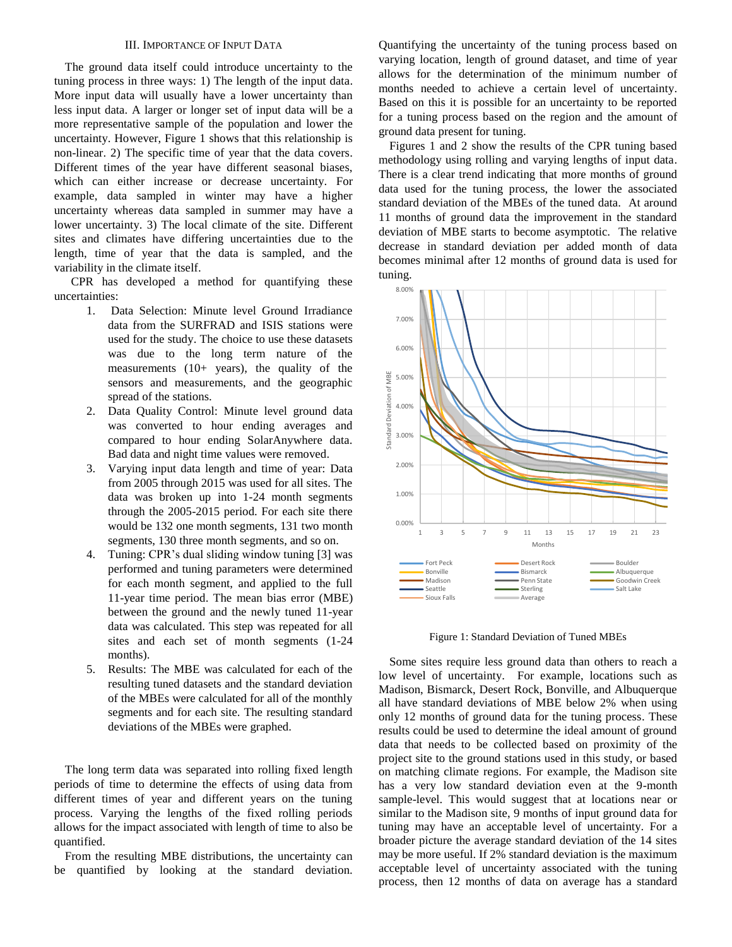## III. IMPORTANCE OF INPUT DATA

The ground data itself could introduce uncertainty to the tuning process in three ways: 1) The length of the input data. More input data will usually have a lower uncertainty than less input data. A larger or longer set of input data will be a more representative sample of the population and lower the uncertainty. However, Figure 1 shows that this relationship is non-linear. 2) The specific time of year that the data covers. Different times of the year have different seasonal biases, which can either increase or decrease uncertainty. For example, data sampled in winter may have a higher uncertainty whereas data sampled in summer may have a lower uncertainty. 3) The local climate of the site. Different sites and climates have differing uncertainties due to the length, time of year that the data is sampled, and the variability in the climate itself.

CPR has developed a method for quantifying these uncertainties:

- 1. Data Selection: Minute level Ground Irradiance data from the SURFRAD and ISIS stations were used for the study. The choice to use these datasets was due to the long term nature of the measurements (10+ years), the quality of the sensors and measurements, and the geographic spread of the stations.
- 2. Data Quality Control: Minute level ground data was converted to hour ending averages and compared to hour ending SolarAnywhere data. Bad data and night time values were removed.
- 3. Varying input data length and time of year: Data from 2005 through 2015 was used for all sites. The data was broken up into 1-24 month segments through the 2005-2015 period. For each site there would be 132 one month segments, 131 two month segments, 130 three month segments, and so on.
- 4. Tuning: CPR's dual sliding window tuning [3] was performed and tuning parameters were determined for each month segment, and applied to the full 11-year time period. The mean bias error (MBE) between the ground and the newly tuned 11-year data was calculated. This step was repeated for all sites and each set of month segments (1-24 months).
- 5. Results: The MBE was calculated for each of the resulting tuned datasets and the standard deviation of the MBEs were calculated for all of the monthly segments and for each site. The resulting standard deviations of the MBEs were graphed.

The long term data was separated into rolling fixed length periods of time to determine the effects of using data from different times of year and different years on the tuning process. Varying the lengths of the fixed rolling periods allows for the impact associated with length of time to also be quantified.

From the resulting MBE distributions, the uncertainty can be quantified by looking at the standard deviation. Quantifying the uncertainty of the tuning process based on varying location, length of ground dataset, and time of year allows for the determination of the minimum number of months needed to achieve a certain level of uncertainty. Based on this it is possible for an uncertainty to be reported for a tuning process based on the region and the amount of ground data present for tuning.

Figures 1 and 2 show the results of the CPR tuning based methodology using rolling and varying lengths of input data. There is a clear trend indicating that more months of ground data used for the tuning process, the lower the associated standard deviation of the MBEs of the tuned data. At around 11 months of ground data the improvement in the standard deviation of MBE starts to become asymptotic. The relative decrease in standard deviation per added month of data becomes minimal after 12 months of ground data is used for tuning.



Figure 1: Standard Deviation of Tuned MBEs

Some sites require less ground data than others to reach a low level of uncertainty. For example, locations such as Madison, Bismarck, Desert Rock, Bonville, and Albuquerque all have standard deviations of MBE below 2% when using only 12 months of ground data for the tuning process. These results could be used to determine the ideal amount of ground data that needs to be collected based on proximity of the project site to the ground stations used in this study, or based on matching climate regions. For example, the Madison site has a very low standard deviation even at the 9-month sample-level. This would suggest that at locations near or similar to the Madison site, 9 months of input ground data for tuning may have an acceptable level of uncertainty. For a broader picture the average standard deviation of the 14 sites may be more useful. If 2% standard deviation is the maximum acceptable level of uncertainty associated with the tuning process, then 12 months of data on average has a standard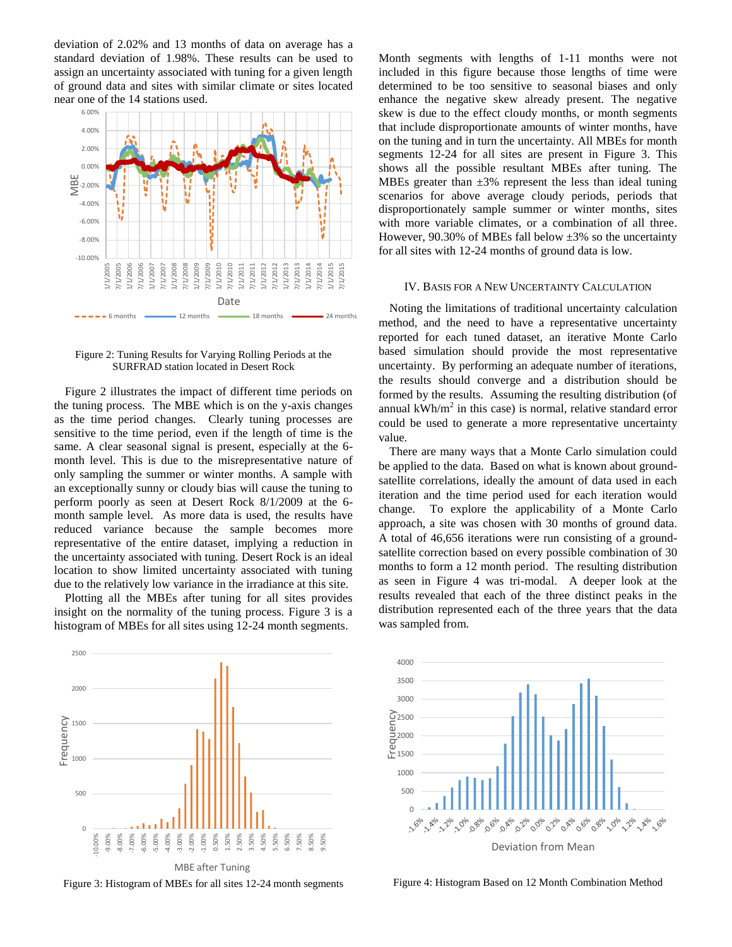deviation of 2.02% and 13 months of data on average has a standard deviation of 1.98%. These results can be used to assign an uncertainty associated with tuning for a given length of ground data and sites with similar climate or sites located near one of the 14 stations used.



Figure 2: Tuning Results for Varying Rolling Periods at the SURFRAD station located in Desert Rock

Figure 2 illustrates the impact of different time periods on the tuning process. The MBE which is on the y-axis changes as the time period changes. Clearly tuning processes are sensitive to the time period, even if the length of time is the same. A clear seasonal signal is present, especially at the 6 month level. This is due to the misrepresentative nature of only sampling the summer or winter months. A sample with an exceptionally sunny or cloudy bias will cause the tuning to perform poorly as seen at Desert Rock 8/1/2009 at the 6 month sample level. As more data is used, the results have reduced variance because the sample becomes more representative of the entire dataset, implying a reduction in the uncertainty associated with tuning. Desert Rock is an ideal location to show limited uncertainty associated with tuning due to the relatively low variance in the irradiance at this site.

Plotting all the MBEs after tuning for all sites provides insight on the normality of the tuning process. Figure 3 is a histogram of MBEs for all sites using 12-24 month segments.



Figure 3: Histogram of MBEs for all sites 12-24 month segments

Month segments with lengths of 1-11 months were not included in this figure because those lengths of time were determined to be too sensitive to seasonal biases and only enhance the negative skew already present. The negative skew is due to the effect cloudy months, or month segments that include disproportionate amounts of winter months, have on the tuning and in turn the uncertainty. All MBEs for month segments 12-24 for all sites are present in Figure 3. This shows all the possible resultant MBEs after tuning. The MBEs greater than  $\pm 3\%$  represent the less than ideal tuning scenarios for above average cloudy periods, periods that disproportionately sample summer or winter months, sites with more variable climates, or a combination of all three. However, 90.30% of MBEs fall below  $\pm 3\%$  so the uncertainty for all sites with 12-24 months of ground data is low.

#### IV. BASIS FOR A NEW UNCERTAINTY CALCULATION

Noting the limitations of traditional uncertainty calculation method, and the need to have a representative uncertainty reported for each tuned dataset, an iterative Monte Carlo based simulation should provide the most representative uncertainty. By performing an adequate number of iterations, the results should converge and a distribution should be formed by the results. Assuming the resulting distribution (of annual  $kWh/m^2$  in this case) is normal, relative standard error could be used to generate a more representative uncertainty value.

There are many ways that a Monte Carlo simulation could be applied to the data. Based on what is known about groundsatellite correlations, ideally the amount of data used in each iteration and the time period used for each iteration would change. To explore the applicability of a Monte Carlo approach, a site was chosen with 30 months of ground data. A total of 46,656 iterations were run consisting of a groundsatellite correction based on every possible combination of 30 months to form a 12 month period. The resulting distribution as seen in Figure 4 was tri-modal. A deeper look at the results revealed that each of the three distinct peaks in the distribution represented each of the three years that the data was sampled from.



Figure 4: Histogram Based on 12 Month Combination Method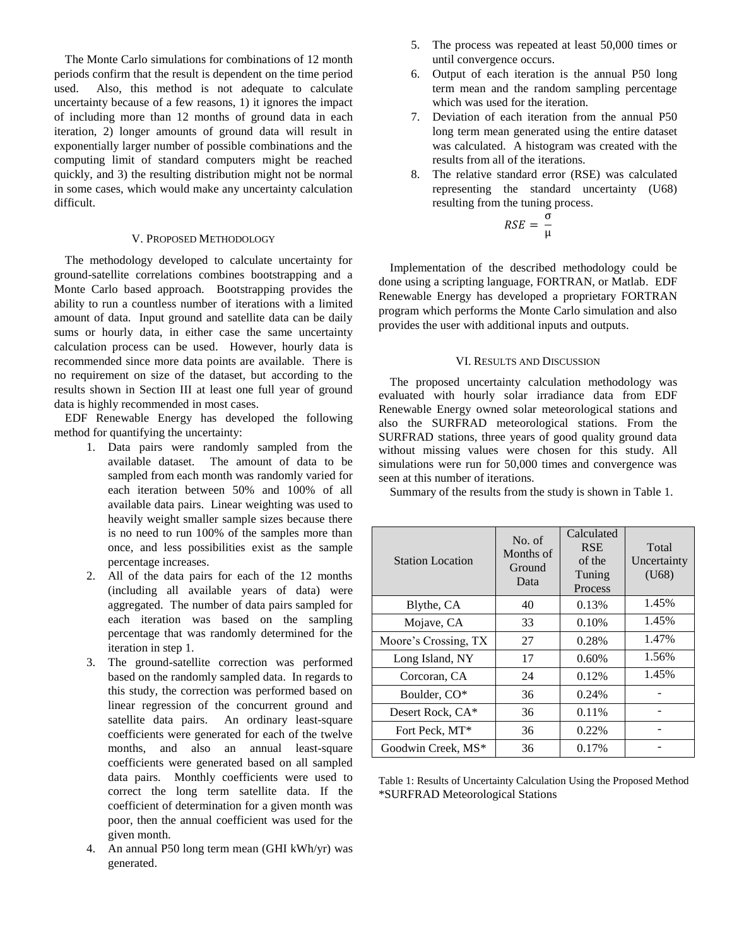The Monte Carlo simulations for combinations of 12 month periods confirm that the result is dependent on the time period used. Also, this method is not adequate to calculate uncertainty because of a few reasons, 1) it ignores the impact of including more than 12 months of ground data in each iteration, 2) longer amounts of ground data will result in exponentially larger number of possible combinations and the computing limit of standard computers might be reached quickly, and 3) the resulting distribution might not be normal in some cases, which would make any uncertainty calculation difficult.

## V. PROPOSED METHODOLOGY

The methodology developed to calculate uncertainty for ground-satellite correlations combines bootstrapping and a Monte Carlo based approach. Bootstrapping provides the ability to run a countless number of iterations with a limited amount of data. Input ground and satellite data can be daily sums or hourly data, in either case the same uncertainty calculation process can be used. However, hourly data is recommended since more data points are available. There is no requirement on size of the dataset, but according to the results shown in Section III at least one full year of ground data is highly recommended in most cases.

EDF Renewable Energy has developed the following method for quantifying the uncertainty:

- 1. Data pairs were randomly sampled from the available dataset. The amount of data to be sampled from each month was randomly varied for each iteration between 50% and 100% of all available data pairs. Linear weighting was used to heavily weight smaller sample sizes because there is no need to run 100% of the samples more than once, and less possibilities exist as the sample percentage increases.
- 2. All of the data pairs for each of the 12 months (including all available years of data) were aggregated. The number of data pairs sampled for each iteration was based on the sampling percentage that was randomly determined for the iteration in step 1.
- 3. The ground-satellite correction was performed based on the randomly sampled data. In regards to this study, the correction was performed based on linear regression of the concurrent ground and satellite data pairs. An ordinary least-square coefficients were generated for each of the twelve months, and also an annual least-square coefficients were generated based on all sampled data pairs. Monthly coefficients were used to correct the long term satellite data. If the coefficient of determination for a given month was poor, then the annual coefficient was used for the given month.
- An annual P50 long term mean (GHI kWh/yr) was generated.
- 5. The process was repeated at least 50,000 times or until convergence occurs.
- 6. Output of each iteration is the annual P50 long term mean and the random sampling percentage which was used for the iteration.
- 7. Deviation of each iteration from the annual P50 long term mean generated using the entire dataset was calculated. A histogram was created with the results from all of the iterations.
- 8. The relative standard error (RSE) was calculated representing the standard uncertainty (U68) resulting from the tuning process.

$$
RSE = \frac{\sigma}{\mu}
$$

Implementation of the described methodology could be done using a scripting language, FORTRAN, or Matlab. EDF Renewable Energy has developed a proprietary FORTRAN program which performs the Monte Carlo simulation and also provides the user with additional inputs and outputs.

# VI. RESULTS AND DISCUSSION

The proposed uncertainty calculation methodology was evaluated with hourly solar irradiance data from EDF Renewable Energy owned solar meteorological stations and also the SURFRAD meteorological stations. From the SURFRAD stations, three years of good quality ground data without missing values were chosen for this study. All simulations were run for 50,000 times and convergence was seen at this number of iterations.

Summary of the results from the study is shown in Table 1.

| <b>Station Location</b> | No. of<br>Months of<br>Ground<br>Data | Calculated<br><b>RSE</b><br>of the<br>Tuning<br>Process | Total<br>Uncertainty<br>(U68) |
|-------------------------|---------------------------------------|---------------------------------------------------------|-------------------------------|
| Blythe, CA              | 40                                    | 0.13%                                                   | 1.45%                         |
| Mojave, CA              | 33                                    | 0.10%                                                   | 1.45%                         |
| Moore's Crossing, TX    | 27                                    | 0.28%                                                   | 1.47%                         |
| Long Island, NY         | 17                                    | 0.60%                                                   | 1.56%                         |
| Corcoran, CA            | 24                                    | 0.12%                                                   | 1.45%                         |
| Boulder, CO*            | 36                                    | 0.24%                                                   |                               |
| Desert Rock, CA*        | 36                                    | 0.11%                                                   |                               |
| Fort Peck, MT*          | 36                                    | 0.22%                                                   |                               |
| Goodwin Creek, MS*      | 36                                    | 0.17%                                                   |                               |

Table 1: Results of Uncertainty Calculation Using the Proposed Method \*SURFRAD Meteorological Stations